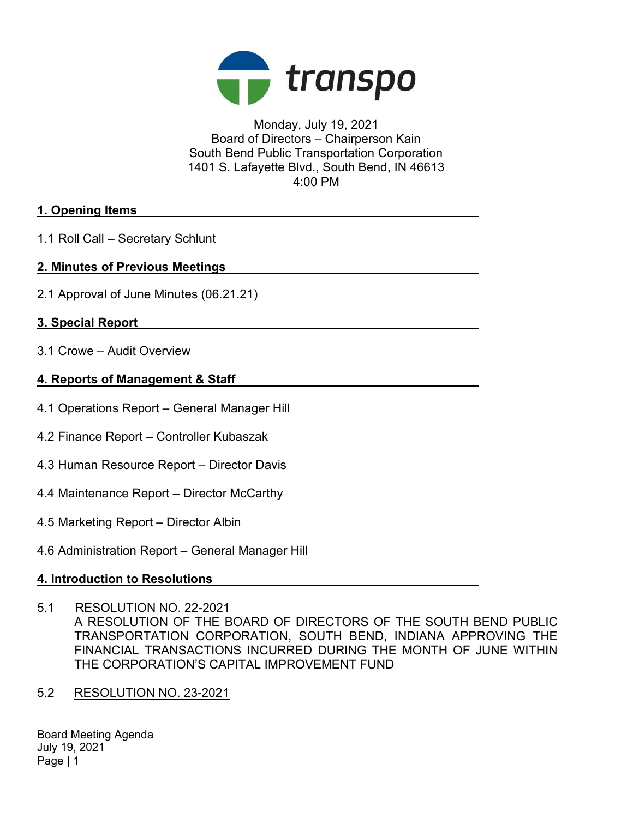

Monday, July 19, 2021 Board of Directors – Chairperson Kain South Bend Public Transportation Corporation 1401 S. Lafayette Blvd., South Bend, IN 46613 4:00 PM

### 1. Opening Items

1.1 Roll Call – Secretary Schlunt

### 2. Minutes of Previous Meetings

2.1 Approval of June Minutes (06.21.21)

## 3. Special Report

3.1 Crowe – Audit Overview

#### 4. Reports of Management & Staff

- 4.1 Operations Report General Manager Hill
- 4.2 Finance Report Controller Kubaszak
- 4.3 Human Resource Report Director Davis
- 4.4 Maintenance Report Director McCarthy
- 4.5 Marketing Report Director Albin
- 4.6 Administration Report General Manager Hill

## 4. Introduction to Resolutions

5.1 RESOLUTION NO. 22-2021

A RESOLUTION OF THE BOARD OF DIRECTORS OF THE SOUTH BEND PUBLIC TRANSPORTATION CORPORATION, SOUTH BEND, INDIANA APPROVING THE FINANCIAL TRANSACTIONS INCURRED DURING THE MONTH OF JUNE WITHIN THE CORPORATION'S CAPITAL IMPROVEMENT FUND

5.2 RESOLUTION NO. 23-2021

Board Meeting Agenda July 19, 2021 Page | 1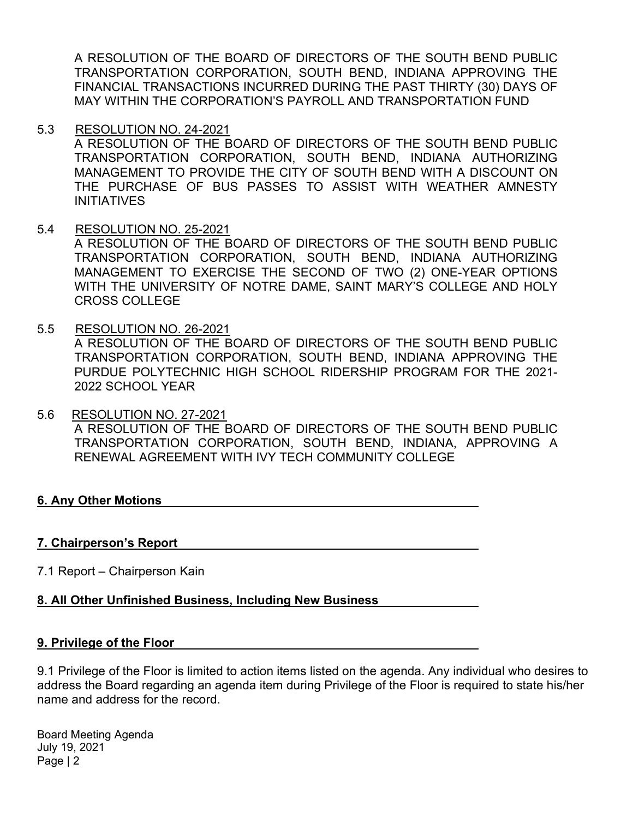A RESOLUTION OF THE BOARD OF DIRECTORS OF THE SOUTH BEND PUBLIC TRANSPORTATION CORPORATION, SOUTH BEND, INDIANA APPROVING THE FINANCIAL TRANSACTIONS INCURRED DURING THE PAST THIRTY (30) DAYS OF MAY WITHIN THE CORPORATION'S PAYROLL AND TRANSPORTATION FUND

5.3 RESOLUTION NO. 24-2021

A RESOLUTION OF THE BOARD OF DIRECTORS OF THE SOUTH BEND PUBLIC TRANSPORTATION CORPORATION, SOUTH BEND, INDIANA AUTHORIZING MANAGEMENT TO PROVIDE THE CITY OF SOUTH BEND WITH A DISCOUNT ON THE PURCHASE OF BUS PASSES TO ASSIST WITH WEATHER AMNESTY INITIATIVES

5.4 RESOLUTION NO. 25-2021

A RESOLUTION OF THE BOARD OF DIRECTORS OF THE SOUTH BEND PUBLIC TRANSPORTATION CORPORATION, SOUTH BEND, INDIANA AUTHORIZING MANAGEMENT TO EXERCISE THE SECOND OF TWO (2) ONE-YEAR OPTIONS WITH THE UNIVERSITY OF NOTRE DAME, SAINT MARY'S COLLEGE AND HOLY CROSS COLLEGE

- 5.5 RESOLUTION NO. 26-2021 A RESOLUTION OF THE BOARD OF DIRECTORS OF THE SOUTH BEND PUBLIC TRANSPORTATION CORPORATION, SOUTH BEND, INDIANA APPROVING THE PURDUE POLYTECHNIC HIGH SCHOOL RIDERSHIP PROGRAM FOR THE 2021- 2022 SCHOOL YEAR
- 5.6 RESOLUTION NO. 27-2021 A RESOLUTION OF THE BOARD OF DIRECTORS OF THE SOUTH BEND PUBLIC TRANSPORTATION CORPORATION, SOUTH BEND, INDIANA, APPROVING A RENEWAL AGREEMENT WITH IVY TECH COMMUNITY COLLEGE

## 6. Any Other Motions

#### 7. Chairperson's Report

7.1 Report – Chairperson Kain

## 8. All Other Unfinished Business, Including New Business

#### 9. Privilege of the Floor

9.1 Privilege of the Floor is limited to action items listed on the agenda. Any individual who desires to address the Board regarding an agenda item during Privilege of the Floor is required to state his/her name and address for the record.

Board Meeting Agenda July 19, 2021 Page | 2